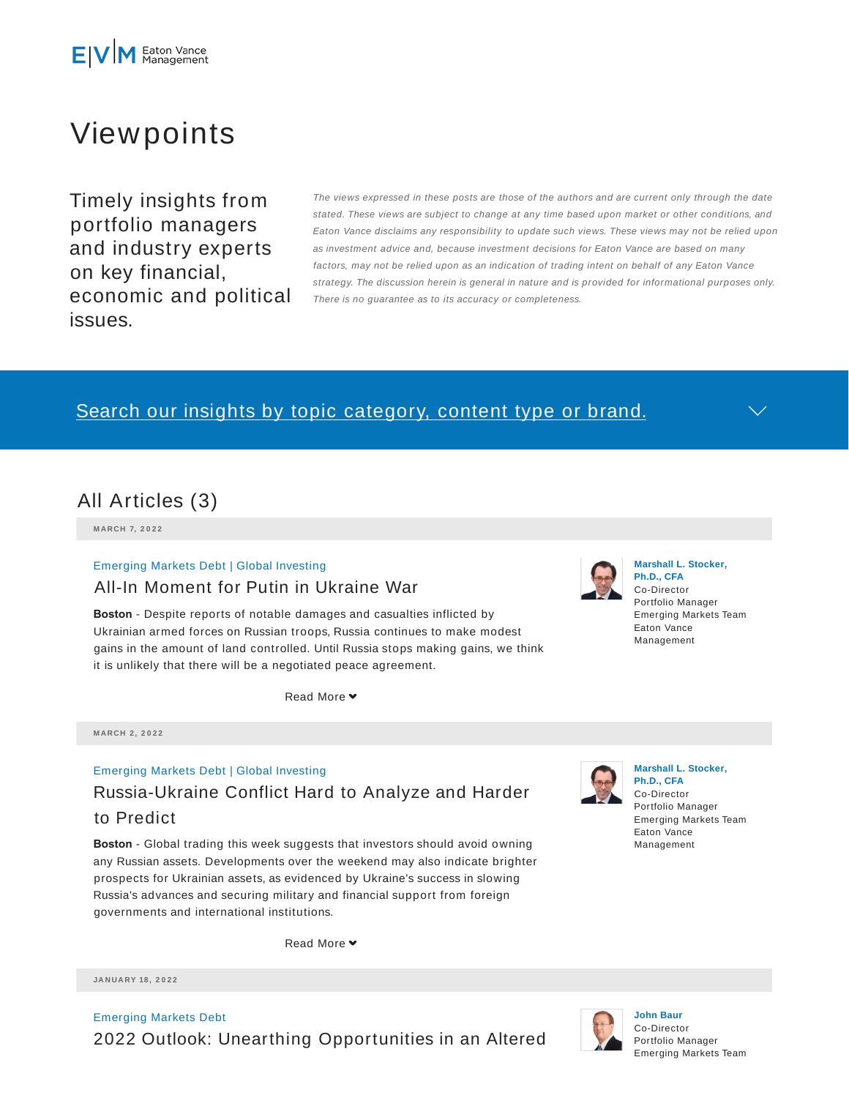

# Viewpoints

Timely insights from portfolio managers and industry experts on key financial, economic and political issues.

The views expressed in these posts are those of the authors and are current only through the date stated. These views are subject to change at any time based upon market or other conditions, and Eaton Vance disclaims any responsibility to update such views. These views may not be relied upon as investment advice and, because investment decisions for Eaton Vance are based on many factors, may not be relied upon as an indication of trading intent on behalf of any Eaton Vance strategy. The discussion herein is general in nature and is provided for informational purposes only. There is no guarantee as to its accuracy or completeness.

## Search our insights by topic category, content type or brand.



**M ARCH 7, 2 0 2 2**

#### Emerging Markets Debt | Global Investing

#### All-In Moment for Putin in Ukraine War

**Boston** - Despite reports of notable damages and casualties inflicted by Ukrainian armed forces on Russian troops, Russia continues to make modest gains in the amount of land controlled. Until Russia stops making gains, we think it is unlikely that there will be a negotiated peace agreement.

Read More **▼** 



#### Emerging Markets Debt | Global Investing

## Russia-Ukraine Conflict Hard to Analyze and Harder to Predict

**Boston** - Global trading this week suggests that investors should avoid owning any Russian assets. Developments over the weekend may also indicate brighter prospects for Ukrainian assets, as evidenced by Ukraine's success in slowing Russia's advances and securing military and financial support from foreign governments and international institutions.

Read More

**JA N UA RY 18 , 2 0 2 2**

Emerging Markets Debt 2022 Outlook: Unearthing Opportunities in an Altered



#### **Marshall L. Stocker, Ph.D., CFA** Co-Director Portfolio Manager Emerging Markets Team Eaton Vance Management



**Marshall L. Stocker, Ph.D., CFA** Co-Director Portfolio Manager Emerging Markets Team Eaton Vance Management



**John Baur** Co-Director Portfolio Manager Emerging Markets Team